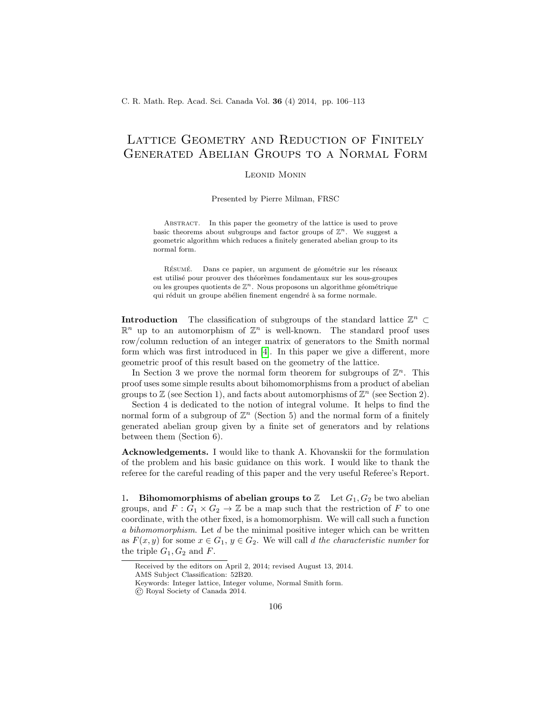# Lattice Geometry and Reduction of Finitely Generated Abelian Groups to a Normal Form

## Leonid Monin

Presented by Pierre Milman, FRSC

ABSTRACT. In this paper the geometry of the lattice is used to prove basic theorems about subgroups and factor groups of  $\mathbb{Z}^n$ . We suggest a geometric algorithm which reduces a finitely generated abelian group to its normal form.

RÉSUMÉ. Dans ce papier, un argument de géométrie sur les réseaux est utilisé pour prouver des théorèmes fondamentaux sur les sous-groupes ou les groupes quotients de  $\mathbb{Z}^n$ . Nous proposons un algorithme géométrique qui réduit un groupe abélien finement engendré à sa forme normale.

**Introduction** The classification of subgroups of the standard lattice  $\mathbb{Z}^n$  ⊂  $\mathbb{R}^n$  up to an automorphism of  $\mathbb{Z}^n$  is well-known. The standard proof uses row/column reduction of an integer matrix of generators to the Smith normal form which was first introduced in [\[4\]](#page-7-0). In this paper we give a different, more geometric proof of this result based on the geometry of the lattice.

In Section 3 we prove the normal form theorem for subgroups of  $\mathbb{Z}^n$ . This proof uses some simple results about bihomomorphisms from a product of abelian groups to  $\mathbb Z$  (see Section 1), and facts about automorphisms of  $\mathbb Z^n$  (see Section 2).

Section 4 is dedicated to the notion of integral volume. It helps to find the normal form of a subgroup of  $\mathbb{Z}^n$  (Section 5) and the normal form of a finitely generated abelian group given by a finite set of generators and by relations between them (Section 6).

Acknowledgements. I would like to thank A. Khovanskii for the formulation of the problem and his basic guidance on this work. I would like to thank the referee for the careful reading of this paper and the very useful Referee's Report.

1. Bihomomorphisms of abelian groups to  $\mathbb Z$  Let  $G_1, G_2$  be two abelian groups, and  $F: G_1 \times G_2 \to \mathbb{Z}$  be a map such that the restriction of F to one coordinate, with the other fixed, is a homomorphism. We will call such a function a bihomomorphism. Let d be the minimal positive integer which can be written as  $F(x, y)$  for some  $x \in G_1$ ,  $y \in G_2$ . We will call d the characteristic number for the triple  $G_1, G_2$  and F.

Received by the editors on April 2, 2014; revised August 13, 2014.

AMS Subject Classification: 52B20.

Keywords: Integer lattice, Integer volume, Normal Smith form.

<sup>©</sup> Royal Society of Canada 2014.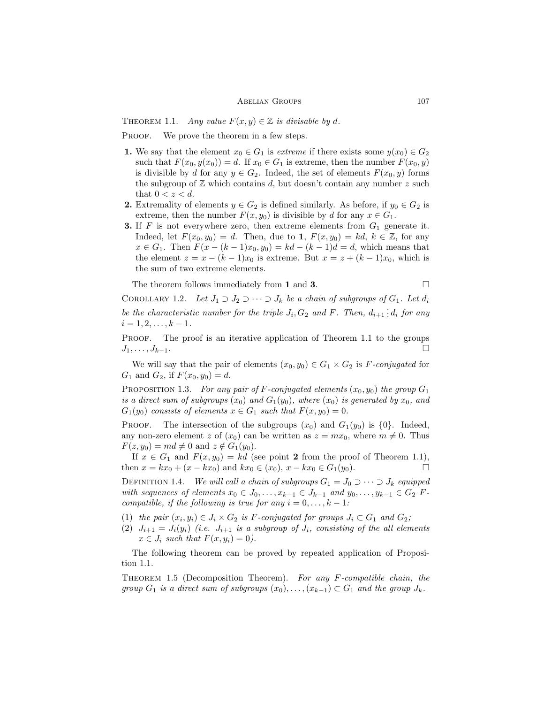#### ABELIAN GROUPS 107

THEOREM 1.1. Any value  $F(x, y) \in \mathbb{Z}$  is divisable by d.

PROOF. We prove the theorem in a few steps.

- 1. We say that the element  $x_0 \in G_1$  is *extreme* if there exists some  $y(x_0) \in G_2$ such that  $F(x_0, y(x_0)) = d$ . If  $x_0 \in G_1$  is extreme, then the number  $F(x_0, y)$ is divisible by d for any  $y \in G_2$ . Indeed, the set of elements  $F(x_0, y)$  forms the subgroup of  $Z$  which contains  $d$ , but doesn't contain any number  $z$  such that  $0 < z < d$ .
- 2. Extremality of elements  $y \in G_2$  is defined similarly. As before, if  $y_0 \in G_2$  is extreme, then the number  $F(x, y_0)$  is divisible by d for any  $x \in G_1$ .
- **3.** If F is not everywhere zero, then extreme elements from  $G_1$  generate it. Indeed, let  $F(x_0, y_0) = d$ . Then, due to 1,  $F(x, y_0) = kd$ ,  $k \in \mathbb{Z}$ , for any  $x \in G_1$ . Then  $F(x - (k-1)x_0, y_0) = kd - (k-1)d = d$ , which means that the element  $z = x - (k-1)x_0$  is extreme. But  $x = z + (k-1)x_0$ , which is the sum of two extreme elements.

The theorem follows immediately from 1 and 3.  $\Box$ 

COROLLARY 1.2. Let  $J_1 \supset J_2 \supset \cdots \supset J_k$  be a chain of subgroups of  $G_1$ . Let  $d_i$ be the characteristic number for the triple  $J_i$ ,  $G_2$  and F. Then,  $d_{i+1}$ :  $d_i$  for any  $i = 1, 2, \ldots, k - 1.$ 

PROOF. The proof is an iterative application of Theorem 1.1 to the groups  $J_1, \ldots, J_{k-1}.$ 

We will say that the pair of elements  $(x_0, y_0) \in G_1 \times G_2$  is F-conjugated for  $G_1$  and  $G_2$ , if  $F(x_0, y_0) = d$ .

PROPOSITION 1.3. For any pair of F-conjugated elements  $(x_0, y_0)$  the group  $G_1$ is a direct sum of subgroups  $(x_0)$  and  $G_1(y_0)$ , where  $(x_0)$  is generated by  $x_0$ , and  $G_1(y_0)$  consists of elements  $x \in G_1$  such that  $F(x, y_0) = 0$ .

**PROOF.** The intersection of the subgroups  $(x_0)$  and  $G_1(y_0)$  is  $\{0\}$ . Indeed, any non-zero element z of  $(x_0)$  can be written as  $z = mx_0$ , where  $m \neq 0$ . Thus  $F(z, y_0) = md \neq 0$  and  $z \notin G_1(y_0)$ .

If  $x \in G_1$  and  $F(x, y_0) = kd$  (see point 2 from the proof of Theorem 1.1), then  $x = kx_0 + (x - kx_0)$  and  $kx_0 \in (x_0)$ ,  $x - kx_0 \in G_1(y_0)$ .

DEFINITION 1.4. We will call a chain of subgroups  $G_1 = J_0 \supset \cdots \supset J_k$  equipped with sequences of elements  $x_0 \in J_0, \ldots, x_{k-1} \in J_{k-1}$  and  $y_0, \ldots, y_{k-1} \in G_2$  Fcompatible, if the following is true for any  $i = 0, \ldots, k - 1$ :

- (1) the pair  $(x_i, y_i) \in J_i \times G_2$  is F-conjugated for groups  $J_i \subset G_1$  and  $G_2$ ;
- (2)  $J_{i+1} = J_i(y_i)$  (i.e.  $J_{i+1}$  is a subgroup of  $J_i$ , consisting of the all elements  $x \in J_i$  such that  $F(x, y_i) = 0$ ).

The following theorem can be proved by repeated application of Proposition 1.1.

Theorem 1.5 (Decomposition Theorem). For any F-compatible chain, the group  $G_1$  is a direct sum of subgroups  $(x_0), \ldots, (x_{k-1}) \subset G_1$  and the group  $J_k$ .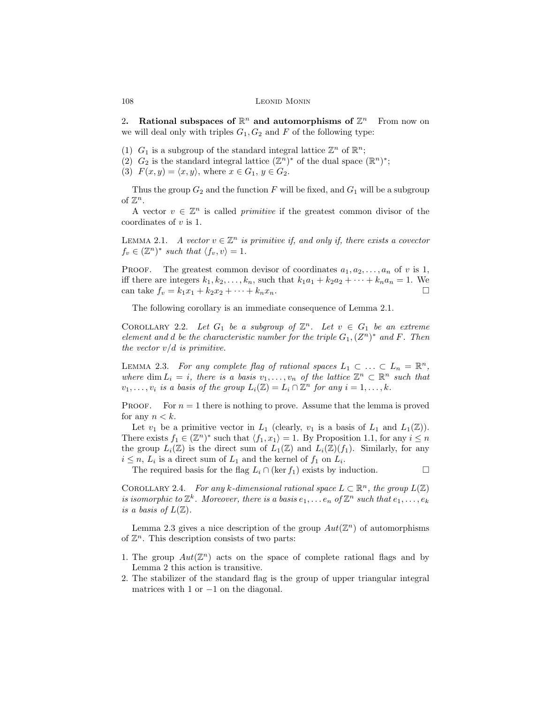2. Rational subspaces of  $\mathbb{R}^n$  and automorphisms of  $\mathbb{Z}^n$  From now on we will deal only with triples  $G_1, G_2$  and F of the following type:

(1)  $G_1$  is a subgroup of the standard integral lattice  $\mathbb{Z}^n$  of  $\mathbb{R}^n$ ;

(2)  $G_2$  is the standard integral lattice  $(\mathbb{Z}^n)^*$  of the dual space  $(\mathbb{R}^n)^*$ ;

(3)  $F(x, y) = \langle x, y \rangle$ , where  $x \in G_1, y \in G_2$ .

Thus the group  $G_2$  and the function F will be fixed, and  $G_1$  will be a subgroup of  $\mathbb{Z}^n$ .

A vector  $v \in \mathbb{Z}^n$  is called *primitive* if the greatest common divisor of the coordinates of  $v$  is 1.

LEMMA 2.1. A vector  $v \in \mathbb{Z}^n$  is primitive if, and only if, there exists a covector  $f_v \in (\mathbb{Z}^n)^*$  such that  $\langle f_v, v \rangle = 1$ .

PROOF. The greatest common devisor of coordinates  $a_1, a_2, \ldots, a_n$  of v is 1, iff there are integers  $k_1, k_2, \ldots, k_n$ , such that  $k_1a_1 + k_2a_2 + \cdots + k_na_n = 1$ . We can take  $f_v = k_1x_1 + k_2x_2 + \cdots + k_nx_n$ .

The following corollary is an immediate consequence of Lemma 2.1.

COROLLARY 2.2. Let  $G_1$  be a subgroup of  $\mathbb{Z}^n$ . Let  $v \in G_1$  be an extreme element and d be the characteristic number for the triple  $G_1$ ,  $(Z^n)^*$  and F. Then the vector  $v/d$  is primitive.

LEMMA 2.3. For any complete flag of rational spaces  $L_1 \subset \ldots \subset L_n = \mathbb{R}^n$ , where dim  $L_i = i$ , there is a basis  $v_1, \ldots, v_n$  of the lattice  $\mathbb{Z}^n \subset \mathbb{R}^n$  such that  $v_1, \ldots, v_i$  is a basis of the group  $L_i(\mathbb{Z}) = L_i \cap \mathbb{Z}^n$  for any  $i = 1, \ldots, k$ .

**PROOF.** For  $n = 1$  there is nothing to prove. Assume that the lemma is proved for any  $n < k$ .

Let  $v_1$  be a primitive vector in  $L_1$  (clearly,  $v_1$  is a basis of  $L_1$  and  $L_1(\mathbb{Z})$ ). There exists  $f_1 \in (\mathbb{Z}^n)^*$  such that  $\langle f_1, x_1 \rangle = 1$ . By Proposition 1.1, for any  $i \leq n$ the group  $L_i(\mathbb{Z})$  is the direct sum of  $L_1(\mathbb{Z})$  and  $L_i(\mathbb{Z})(f_1)$ . Similarly, for any  $i \leq n$ ,  $L_i$  is a direct sum of  $L_1$  and the kernel of  $f_1$  on  $L_i$ .

The required basis for the flag  $L_i \cap (\ker f_1)$  exists by induction.

COROLLARY 2.4. For any k-dimensional rational space  $L \subset \mathbb{R}^n$ , the group  $L(\mathbb{Z})$ is isomorphic to  $\mathbb{Z}^k$ . Moreover, there is a basis  $e_1, \ldots e_n$  of  $\mathbb{Z}^n$  such that  $e_1, \ldots, e_k$ is a basis of  $L(\mathbb{Z})$ .

Lemma 2.3 gives a nice description of the group  $Aut(\mathbb{Z}^n)$  of automorphisms of  $\mathbb{Z}^n$ . This description consists of two parts:

- 1. The group  $Aut(\mathbb{Z}^n)$  acts on the space of complete rational flags and by Lemma 2 this action is transitive.
- 2. The stabilizer of the standard flag is the group of upper triangular integral matrices with 1 or  $-1$  on the diagonal.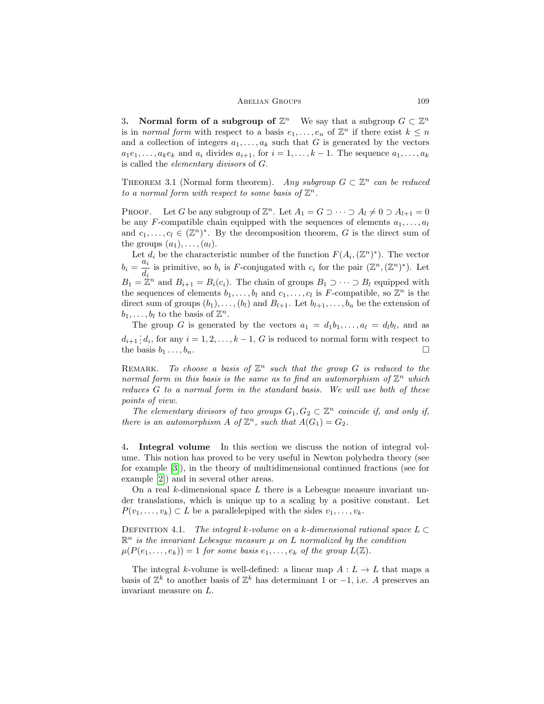#### ABELIAN GROUPS 109

3. Normal form of a subgroup of  $\mathbb{Z}^n$  We say that a subgroup  $G \subset \mathbb{Z}^n$ is in *normal form* with respect to a basis  $e_1, \ldots, e_n$  of  $\mathbb{Z}^n$  if there exist  $k \leq n$ and a collection of integers  $a_1, \ldots, a_k$  such that G is generated by the vectors  $a_1e_1, \ldots, a_ke_k$  and  $a_i$  divides  $a_{i+1}$ , for  $i = 1, \ldots, k-1$ . The sequence  $a_1, \ldots, a_k$ is called the elementary divisors of G.

THEOREM 3.1 (Normal form theorem). Any subgroup  $G \subset \mathbb{Z}^n$  can be reduced to a normal form with respect to some basis of  $\mathbb{Z}^n$ .

PROOF. Let G be any subgroup of  $\mathbb{Z}^n$ . Let  $A_1 = G \supset \cdots \supset A_l \neq 0 \supset A_{l+1} = 0$ be any F-compatible chain equipped with the sequences of elements  $a_1, \ldots, a_l$ and  $c_1, \ldots, c_l \in (\mathbb{Z}^n)^*$ . By the decomposition theorem, G is the direct sum of the groups  $(a_1), \ldots, (a_l)$ .

Let  $d_i$  be the characteristic number of the function  $F(A_i, (\mathbb{Z}^n)^*)$ . The vector  $b_i = \frac{a_i}{i}$  $\frac{di_i}{di}$  is primitive, so  $b_i$  is F-conjugated with  $c_i$  for the pair  $(\mathbb{Z}^n, (\mathbb{Z}^n)^*)$ . Let  $B_1 = \mathbb{Z}^n$  and  $B_{i+1} = B_i(c_i)$ . The chain of groups  $B_1 \supset \cdots \supset B_l$  equipped with the sequences of elements  $b_1, \ldots, b_l$  and  $c_1, \ldots, c_l$  is F-compatible, so  $\mathbb{Z}^n$  is the direct sum of groups  $(b_1), \ldots, (b_l)$  and  $B_{l+1}$ . Let  $b_{l+1}, \ldots, b_n$  be the extension of  $b_1, \ldots, b_l$  to the basis of  $\mathbb{Z}^n$ .

The group G is generated by the vectors  $a_1 = d_1b_1, \ldots, a_l = d_l b_l$ , and as  $d_{i+1}$ :  $d_i$ , for any  $i = 1, 2, ..., k-1$ , G is reduced to normal form with respect to the basis  $b_1 \ldots, b_n$ .

REMARK. To choose a basis of  $\mathbb{Z}^n$  such that the group G is reduced to the normal form in this basis is the same as to find an automorphism of  $\mathbb{Z}^n$  which reduces G to a normal form in the standard basis. We will use both of these points of view.

The elementary divisors of two groups  $G_1, G_2 \subset \mathbb{Z}^n$  coincide if, and only if, there is an automorphism A of  $\mathbb{Z}^n$ , such that  $A(G_1) = G_2$ .

4. Integral volume In this section we discuss the notion of integral volume. This notion has proved to be very useful in Newton polyhedra theory (see for example [\[3\]](#page-7-1)), in the theory of multidimensional continued fractions (see for example [\[2\]](#page-7-2)) and in several other areas.

On a real k-dimensional space L there is a Lebesgue measure invariant under translations, which is unique up to a scaling by a positive constant. Let  $P(v_1, \ldots, v_k) \subset L$  be a parallelepiped with the sides  $v_1, \ldots, v_k$ .

DEFINITION 4.1. The integral k-volume on a k-dimensional rational space  $L \subset$  $\mathbb{R}^n$  is the invariant Lebesgue measure  $\mu$  on L normalized by the condition  $\mu(P(e_1, \ldots, e_k)) = 1$  for some basis  $e_1, \ldots, e_k$  of the group  $L(\mathbb{Z})$ .

The integral k-volume is well-defined: a linear map  $A: L \to L$  that maps a basis of  $\mathbb{Z}^k$  to another basis of  $\mathbb{Z}^k$  has determinant 1 or -1, i.e. A preserves an invariant measure on L.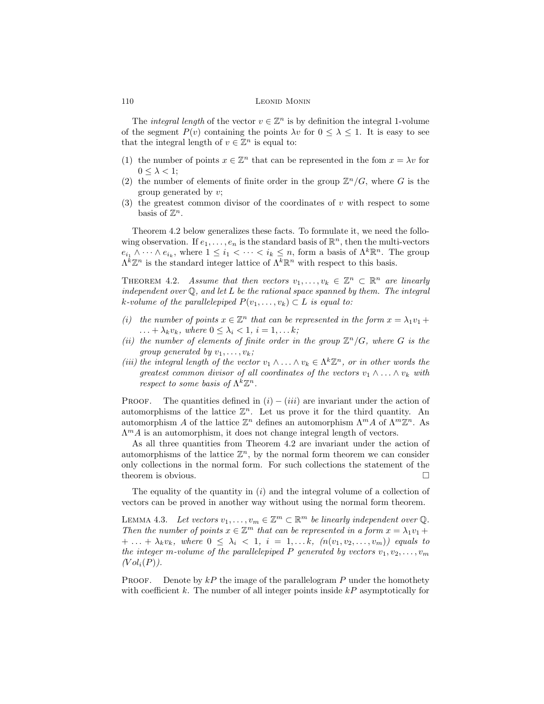### 110 LEONID MONIN

The *integral length* of the vector  $v \in \mathbb{Z}^n$  is by definition the integral 1-volume of the segment  $P(v)$  containing the points  $\lambda v$  for  $0 \leq \lambda \leq 1$ . It is easy to see that the integral length of  $v \in \mathbb{Z}^n$  is equal to:

- (1) the number of points  $x \in \mathbb{Z}^n$  that can be represented in the fom  $x = \lambda v$  for  $0 \leq \lambda < 1$ ;
- (2) the number of elements of finite order in the group  $\mathbb{Z}^n/G$ , where G is the group generated by  $v$ ;
- (3) the greatest common divisor of the coordinates of  $v$  with respect to some basis of  $\mathbb{Z}^n$ .

Theorem 4.2 below generalizes these facts. To formulate it, we need the following observation. If  $e_1, \ldots, e_n$  is the standard basis of  $\mathbb{R}^n$ , then the multi-vectors  $e_{i_1} \wedge \cdots \wedge e_{i_k}$ , where  $1 \leq i_1 < \cdots < i_k \leq n$ , form a basis of  $\Lambda^k \mathbb{R}^n$ . The group  $\Lambda^{\bar{k}}\mathbb{Z}^n$  is the standard integer lattice of  $\Lambda^k\mathbb{R}^n$  with respect to this basis.

THEOREM 4.2. Assume that then vectors  $v_1, \ldots, v_k \in \mathbb{Z}^n \subset \mathbb{R}^n$  are linearly independent over  $\mathbb Q$ , and let  $L$  be the rational space spanned by them. The integral k-volume of the parallelepiped  $P(v_1, \ldots, v_k) \subset L$  is equal to:

- (i) the number of points  $x \in \mathbb{Z}^n$  that can be represented in the form  $x = \lambda_1 v_1 + \lambda_2 v_2$  $\ldots + \lambda_k v_k$ , where  $0 \leq \lambda_i \leq 1$ ,  $i = 1, \ldots k$ ;
- (ii) the number of elements of finite order in the group  $\mathbb{Z}^n/G$ , where G is the group generated by  $v_1, \ldots, v_k$ ;
- (iii) the integral length of the vector  $v_1 \wedge \ldots \wedge v_k \in \Lambda^k \mathbb{Z}^n$ , or in other words the greatest common divisor of all coordinates of the vectors  $v_1 \wedge \ldots \wedge v_k$  with respect to some basis of  $\Lambda^k \mathbb{Z}^n$ .

PROOF. The quantities defined in  $(i) - (iii)$  are invariant under the action of automorphisms of the lattice  $\mathbb{Z}^n$ . Let us prove it for the third quantity. An automorphism A of the lattice  $\mathbb{Z}^n$  defines an automorphism  $\Lambda^m A$  of  $\Lambda^m \mathbb{Z}^n$ . As  $\Lambda^m A$  is an automorphism, it does not change integral length of vectors.

As all three quantities from Theorem 4.2 are invariant under the action of automorphisms of the lattice  $\mathbb{Z}^n$ , by the normal form theorem we can consider only collections in the normal form. For such collections the statement of the theorem is obvious.

The equality of the quantity in  $(i)$  and the integral volume of a collection of vectors can be proved in another way without using the normal form theorem.

LEMMA 4.3. Let vectors  $v_1, \ldots, v_m \in \mathbb{Z}^m \subset \mathbb{R}^m$  be linearly independent over  $\mathbb{Q}$ . Then the number of points  $x \in \mathbb{Z}^m$  that can be represented in a form  $x = \lambda_1 v_1 + \lambda_2 v_2$  $+ \ldots + \lambda_k v_k$ , where  $0 \leq \lambda_i < 1$ ,  $i = 1, \ldots k$ ,  $(n(v_1, v_2, \ldots, v_m))$  equals to the integer m-volume of the parallelepiped P generated by vectors  $v_1, v_2, \ldots, v_m$  $(Vol<sub>i</sub>(P)).$ 

**PROOF.** Denote by  $kP$  the image of the parallelogram P under the homothety with coefficient  $k$ . The number of all integer points inside  $kP$  asymptotically for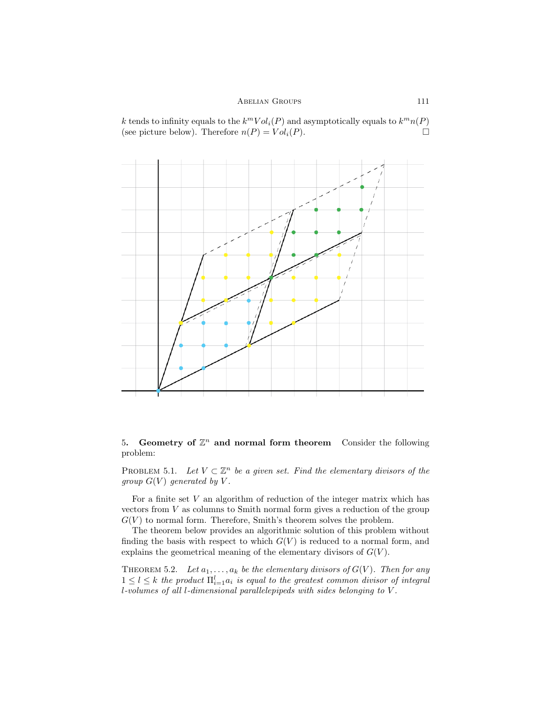k tends to infinity equals to the  $k^mVol_i(P)$  and asymptotically equals to  $k^mn(P)$ (see picture below). Therefore  $n(P) = Vol<sub>i</sub>(P)$ .



5. Geometry of  $\mathbb{Z}^n$  and normal form theorem Consider the following problem:

PROBLEM 5.1. Let  $V \subset \mathbb{Z}^n$  be a given set. Find the elementary divisors of the group  $G(V)$  generated by V.

For a finite set V an algorithm of reduction of the integer matrix which has vectors from  $V$  as columns to Smith normal form gives a reduction of the group  $G(V)$  to normal form. Therefore, Smith's theorem solves the problem.

The theorem below provides an algorithmic solution of this problem without finding the basis with respect to which  $G(V)$  is reduced to a normal form, and explains the geometrical meaning of the elementary divisors of  $G(V)$ .

THEOREM 5.2. Let  $a_1, \ldots, a_k$  be the elementary divisors of  $G(V)$ . Then for any  $1 \leq l \leq k$  the product  $\prod_{i=1}^{l} a_i$  is equal to the greatest common divisor of integral l-volumes of all l-dimensional parallelepipeds with sides belonging to V .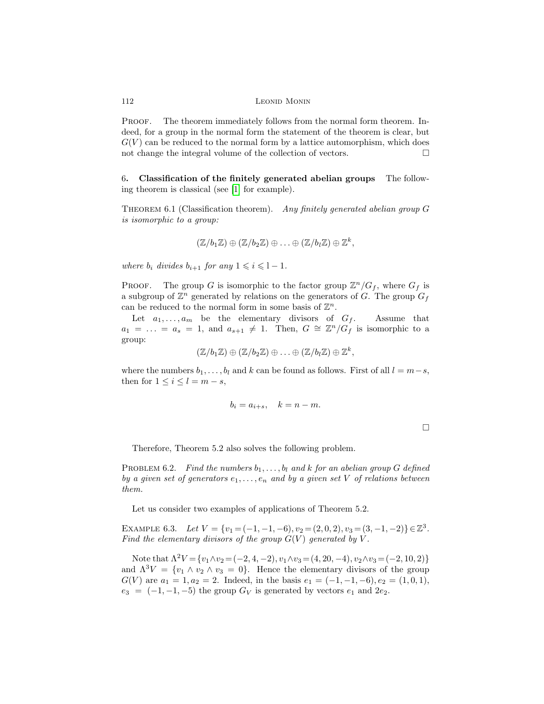#### 112 LEONID MONIN

PROOF. The theorem immediately follows from the normal form theorem. Indeed, for a group in the normal form the statement of the theorem is clear, but  $G(V)$  can be reduced to the normal form by a lattice automorphism, which does not change the integral volume of the collection of vectors.  $\Box$ 

6. Classification of the finitely generated abelian groups The following theorem is classical (see [\[1\]](#page-7-3) for example).

THEOREM 6.1 (Classification theorem). Any finitely generated abelian group  $G$ is isomorphic to a group:

$$
(\mathbb{Z}/b_1\mathbb{Z})\oplus(\mathbb{Z}/b_2\mathbb{Z})\oplus\ldots\oplus(\mathbb{Z}/b_l\mathbb{Z})\oplus\mathbb{Z}^k,
$$

where  $b_i$  divides  $b_{i+1}$  for any  $1 \leq i \leq l-1$ .

PROOF. The group G is isomorphic to the factor group  $\mathbb{Z}^n/G_f$ , where  $G_f$  is a subgroup of  $\mathbb{Z}^n$  generated by relations on the generators of G. The group  $G_f$ can be reduced to the normal form in some basis of  $\mathbb{Z}^n$ .

Let  $a_1, \ldots, a_m$  be the elementary divisors of  $G_f$ . Assume that  $a_1 = \ldots = a_s = 1$ , and  $a_{s+1} \neq 1$ . Then,  $G \cong \mathbb{Z}^n/G_f$  is isomorphic to a group:

$$
(\mathbb{Z}/b_1\mathbb{Z}) \oplus (\mathbb{Z}/b_2\mathbb{Z}) \oplus \ldots \oplus (\mathbb{Z}/b_l\mathbb{Z}) \oplus \mathbb{Z}^k,
$$

where the numbers  $b_1, \ldots, b_l$  and k can be found as follows. First of all  $l = m-s$ , then for  $1 \leq i \leq l = m - s$ ,

$$
b_i = a_{i+s}, \quad k = n-m.
$$

 $\Box$ 

Therefore, Theorem 5.2 also solves the following problem.

PROBLEM 6.2. Find the numbers  $b_1, \ldots, b_l$  and k for an abelian group G defined by a given set of generators  $e_1, \ldots, e_n$  and by a given set V of relations between them.

Let us consider two examples of applications of Theorem 5.2.

EXAMPLE 6.3. Let  $V = \{v_1 = (-1, -1, -6), v_2 = (2, 0, 2), v_3 = (3, -1, -2)\} \in \mathbb{Z}^3$ . Find the elementary divisors of the group  $G(V)$  generated by  $V$ .

Note that  $\Lambda^2 V = \{v_1 \wedge v_2 = (-2, 4, -2), v_1 \wedge v_3 = (4, 20, -4), v_2 \wedge v_3 = (-2, 10, 2)\}\$ and  $\Lambda^3 V = \{v_1 \wedge v_2 \wedge v_3 = 0\}$ . Hence the elementary divisors of the group  $G(V)$  are  $a_1 = 1, a_2 = 2$ . Indeed, in the basis  $e_1 = (-1, -1, -6), e_2 = (1, 0, 1),$  $e_3 = (-1, -1, -5)$  the group  $G_V$  is generated by vectors  $e_1$  and  $2e_2$ .